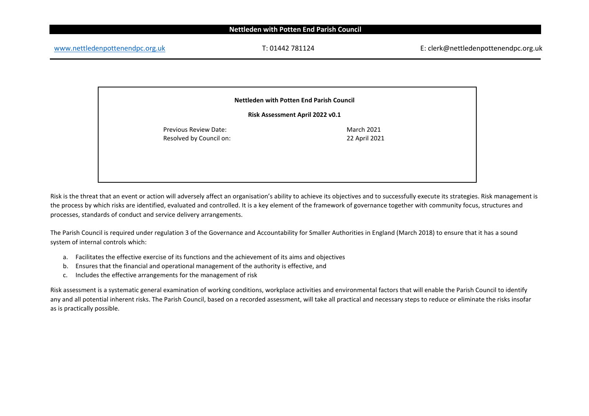[www.nettledenpottenendpc.org.uk](http://www.nettledenpottenendpc.org.uk/) T: 01442 781124 E: clerk@nettledenpottenendpc.org.uk

**Nettleden with Potten End Parish Council**

**Risk Assessment April 2022 v0.1**

Previous Review Date: Resolved by Council on: March 2021 22 April 2021

Risk is the threat that an event or action will adversely affect an organisation's ability to achieve its objectives and to successfully execute its strategies. Risk management is the process by which risks are identified, evaluated and controlled. It is a key element of the framework of governance together with community focus, structures and processes, standards of conduct and service delivery arrangements.

The Parish Council is required under regulation 3 of the Governance and Accountability for Smaller Authorities in England (March 2018) to ensure that it has a sound system of internal controls which:

- a. Facilitates the effective exercise of its functions and the achievement of its aims and objectives
- b. Ensures that the financial and operational management of the authority is effective, and
- c. Includes the effective arrangements for the management of risk

Risk assessment is a systematic general examination of working conditions, workplace activities and environmental factors that will enable the Parish Council to identify any and all potential inherent risks. The Parish Council, based on a recorded assessment, will take all practical and necessary steps to reduce or eliminate the risks insofar as is practically possible.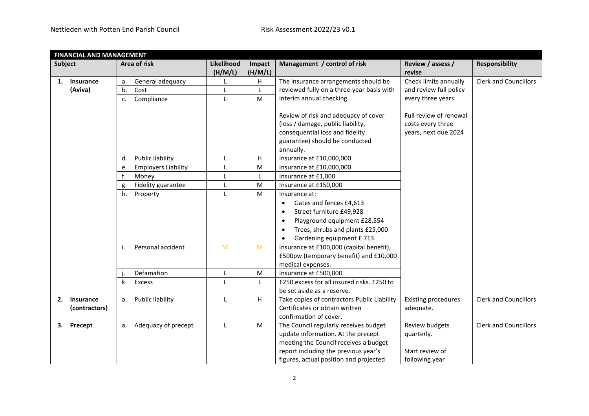| <b>FINANCIAL AND MANAGEMENT</b> |                  |                  |                            |                       |                   |                                               |                             |                              |
|---------------------------------|------------------|------------------|----------------------------|-----------------------|-------------------|-----------------------------------------------|-----------------------------|------------------------------|
| <b>Subject</b>                  |                  | Area of risk     |                            | Likelihood<br>(H/M/L) | Impact<br>(H/M/L) | Management / control of risk                  | Review / assess /<br>revise | <b>Responsibility</b>        |
| 1.                              | <b>Insurance</b> | a.               | General adequacy           | L                     | H                 | The insurance arrangements should be          | Check limits annually       | <b>Clerk and Councillors</b> |
|                                 | (Aviva)          | Cost<br>b.       |                            | L                     | L                 | reviewed fully on a three-year basis with     | and review full policy      |                              |
|                                 |                  | Compliance<br>c. |                            | L                     | M                 | interim annual checking.                      | every three years.          |                              |
|                                 |                  |                  |                            |                       |                   | Review of risk and adequacy of cover          | Full review of renewal      |                              |
|                                 |                  |                  |                            |                       |                   | (loss / damage, public liability,             | costs every three           |                              |
|                                 |                  |                  |                            |                       |                   | consequential loss and fidelity               | years, next due 2024        |                              |
|                                 |                  |                  |                            |                       |                   | guarantee) should be conducted                |                             |                              |
|                                 |                  |                  |                            |                       |                   | annually.                                     |                             |                              |
|                                 |                  | d.               | Public liability           | L                     | н                 | Insurance at £10,000,000                      |                             |                              |
|                                 |                  | e.               | <b>Employers Liability</b> |                       | M                 | Insurance at £10,000,000                      |                             |                              |
|                                 |                  | f.<br>Money      |                            |                       |                   | Insurance at £1,000                           |                             |                              |
|                                 |                  | g.               | Fidelity guarantee         |                       | M                 | Insurance at £150,000                         |                             |                              |
|                                 |                  | h.<br>Property   |                            | L                     | M                 | Insurance at:                                 |                             |                              |
|                                 |                  |                  |                            |                       |                   | Gates and fences £4,613<br>$\bullet$          |                             |                              |
|                                 |                  |                  |                            |                       |                   | Street furniture £49,928<br>$\bullet$         |                             |                              |
|                                 |                  |                  |                            |                       |                   | Playground equipment £28,554<br>$\bullet$     |                             |                              |
|                                 |                  |                  |                            |                       |                   | Trees, shrubs and plants £25,000<br>$\bullet$ |                             |                              |
|                                 |                  |                  |                            |                       |                   | Gardening equipment £713                      |                             |                              |
|                                 |                  | i.               | Personal accident          | M                     | M                 | Insurance at £100,000 (capital benefit),      |                             |                              |
|                                 |                  |                  |                            |                       |                   | £500pw (temporary benefit) and £10,000        |                             |                              |
|                                 |                  |                  |                            |                       |                   | medical expenses.                             |                             |                              |
|                                 |                  | Defamation       |                            | L                     | M                 | Insurance at £500,000                         |                             |                              |
|                                 |                  | Excess<br>k.     |                            | L                     | L                 | £250 excess for all insured risks. £250 to    |                             |                              |
|                                 |                  |                  |                            |                       |                   | be set aside as a reserve.                    |                             |                              |
| 2.                              | Insurance        | a.               | Public liability           | L                     | H                 | Take copies of contractors Public Liability   | <b>Existing procedures</b>  | <b>Clerk and Councillors</b> |
|                                 | (contractors)    |                  |                            |                       |                   | Certificates or obtain written                | adequate.                   |                              |
|                                 |                  |                  |                            |                       |                   | confirmation of cover.                        |                             |                              |
|                                 | 3. Precept       | a.               | Adequacy of precept        | L                     | M                 | The Council regularly receives budget         | Review budgets              | <b>Clerk and Councillors</b> |
|                                 |                  |                  |                            |                       |                   | update information. At the precept            | quarterly.                  |                              |
|                                 |                  |                  |                            |                       |                   | meeting the Council receives a budget         |                             |                              |
|                                 |                  |                  |                            |                       |                   | report including the previous year's          | Start review of             |                              |
|                                 |                  |                  |                            |                       |                   | figures, actual position and projected        | following year              |                              |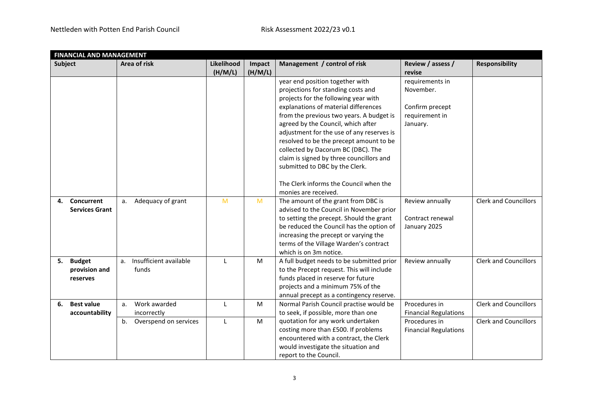|                | <b>FINANCIAL AND MANAGEMENT</b> |                              |            |         |                                           |                              |                              |  |  |
|----------------|---------------------------------|------------------------------|------------|---------|-------------------------------------------|------------------------------|------------------------------|--|--|
| <b>Subject</b> |                                 | Area of risk                 | Likelihood | Impact  | Management / control of risk              | Review / assess /            | <b>Responsibility</b>        |  |  |
|                |                                 |                              | (H/M/L)    | (H/M/L) |                                           | revise                       |                              |  |  |
|                |                                 |                              |            |         | year end position together with           | requirements in              |                              |  |  |
|                |                                 |                              |            |         | projections for standing costs and        | November.                    |                              |  |  |
|                |                                 |                              |            |         | projects for the following year with      |                              |                              |  |  |
|                |                                 |                              |            |         | explanations of material differences      | Confirm precept              |                              |  |  |
|                |                                 |                              |            |         | from the previous two years. A budget is  | requirement in               |                              |  |  |
|                |                                 |                              |            |         | agreed by the Council, which after        | January.                     |                              |  |  |
|                |                                 |                              |            |         | adjustment for the use of any reserves is |                              |                              |  |  |
|                |                                 |                              |            |         | resolved to be the precept amount to be   |                              |                              |  |  |
|                |                                 |                              |            |         | collected by Dacorum BC (DBC). The        |                              |                              |  |  |
|                |                                 |                              |            |         | claim is signed by three councillors and  |                              |                              |  |  |
|                |                                 |                              |            |         | submitted to DBC by the Clerk.            |                              |                              |  |  |
|                |                                 |                              |            |         |                                           |                              |                              |  |  |
|                |                                 |                              |            |         | The Clerk informs the Council when the    |                              |                              |  |  |
|                |                                 |                              |            |         | monies are received.                      |                              |                              |  |  |
| 4.             | Concurrent                      | Adequacy of grant<br>a.      | M          | M       | The amount of the grant from DBC is       | Review annually              | <b>Clerk and Councillors</b> |  |  |
|                | <b>Services Grant</b>           |                              |            |         | advised to the Council in November prior  |                              |                              |  |  |
|                |                                 |                              |            |         | to setting the precept. Should the grant  | Contract renewal             |                              |  |  |
|                |                                 |                              |            |         | be reduced the Council has the option of  | January 2025                 |                              |  |  |
|                |                                 |                              |            |         | increasing the precept or varying the     |                              |                              |  |  |
|                |                                 |                              |            |         | terms of the Village Warden's contract    |                              |                              |  |  |
|                |                                 |                              |            |         | which is on 3m notice.                    |                              |                              |  |  |
| 5.             | <b>Budget</b>                   | Insufficient available<br>a. | L          | M       | A full budget needs to be submitted prior | Review annually              | <b>Clerk and Councillors</b> |  |  |
|                | provision and                   | funds                        |            |         | to the Precept request. This will include |                              |                              |  |  |
|                | reserves                        |                              |            |         | funds placed in reserve for future        |                              |                              |  |  |
|                |                                 |                              |            |         | projects and a minimum 75% of the         |                              |                              |  |  |
|                |                                 |                              |            |         | annual precept as a contingency reserve.  |                              |                              |  |  |
| 6.             | <b>Best value</b>               | Work awarded<br>a.           | L          | M       | Normal Parish Council practise would be   | Procedures in                | <b>Clerk and Councillors</b> |  |  |
|                | accountability                  | incorrectly                  |            |         | to seek, if possible, more than one       | <b>Financial Regulations</b> |                              |  |  |
|                |                                 | Overspend on services<br>b.  | L          | M       | quotation for any work undertaken         | Procedures in                | <b>Clerk and Councillors</b> |  |  |
|                |                                 |                              |            |         | costing more than £500. If problems       | <b>Financial Regulations</b> |                              |  |  |
|                |                                 |                              |            |         | encountered with a contract, the Clerk    |                              |                              |  |  |
|                |                                 |                              |            |         | would investigate the situation and       |                              |                              |  |  |
|                |                                 |                              |            |         | report to the Council.                    |                              |                              |  |  |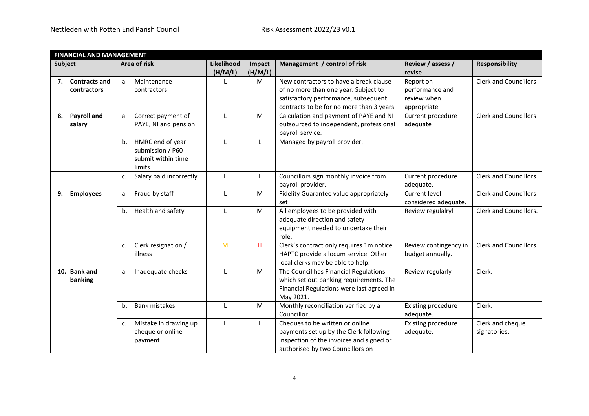|                | <b>FINANCIAL AND MANAGEMENT</b> |                               |                       |                   |                                           |                             |                              |  |  |  |
|----------------|---------------------------------|-------------------------------|-----------------------|-------------------|-------------------------------------------|-----------------------------|------------------------------|--|--|--|
| <b>Subject</b> |                                 | Area of risk                  | Likelihood<br>(H/M/L) | Impact<br>(H/M/L) | Management / control of risk              | Review / assess /<br>revise | <b>Responsibility</b>        |  |  |  |
|                | 7. Contracts and                | Maintenance<br>a.             |                       | M                 | New contractors to have a break clause    | Report on                   | <b>Clerk and Councillors</b> |  |  |  |
|                | contractors                     | contractors                   |                       |                   | of no more than one year. Subject to      | performance and             |                              |  |  |  |
|                |                                 |                               |                       |                   | satisfactory performance, subsequent      | review when                 |                              |  |  |  |
|                |                                 |                               |                       |                   | contracts to be for no more than 3 years. | appropriate                 |                              |  |  |  |
| 8.             | <b>Payroll and</b>              | Correct payment of<br>a.      | L                     | M                 | Calculation and payment of PAYE and NI    | Current procedure           | <b>Clerk and Councillors</b> |  |  |  |
|                | salary                          | PAYE, NI and pension          |                       |                   | outsourced to independent, professional   | adequate                    |                              |  |  |  |
|                |                                 |                               |                       |                   | payroll service.                          |                             |                              |  |  |  |
|                |                                 | HMRC end of year<br>b.        | L                     | L                 | Managed by payroll provider.              |                             |                              |  |  |  |
|                |                                 | submission / P60              |                       |                   |                                           |                             |                              |  |  |  |
|                |                                 | submit within time            |                       |                   |                                           |                             |                              |  |  |  |
|                |                                 | limits                        |                       |                   |                                           |                             |                              |  |  |  |
|                |                                 | Salary paid incorrectly<br>c. | L                     | L                 | Councillors sign monthly invoice from     | Current procedure           | <b>Clerk and Councillors</b> |  |  |  |
|                |                                 |                               |                       |                   | payroll provider.                         | adequate.                   |                              |  |  |  |
| 9.             | <b>Employees</b>                | Fraud by staff<br>a.          | L                     | M                 | Fidelity Guarantee value appropriately    | Current level               | <b>Clerk and Councillors</b> |  |  |  |
|                |                                 |                               |                       |                   | set                                       | considered adequate.        |                              |  |  |  |
|                |                                 | Health and safety<br>b.       | L                     | M                 | All employees to be provided with         | Review regulalryl           | Clerk and Councillors.       |  |  |  |
|                |                                 |                               |                       |                   | adequate direction and safety             |                             |                              |  |  |  |
|                |                                 |                               |                       |                   | equipment needed to undertake their       |                             |                              |  |  |  |
|                |                                 |                               |                       |                   | role.                                     |                             |                              |  |  |  |
|                |                                 | Clerk resignation /<br>c.     | M                     | н                 | Clerk's contract only requires 1m notice. | Review contingency in       | Clerk and Councillors.       |  |  |  |
|                |                                 | illness                       |                       |                   | HAPTC provide a locum service. Other      | budget annually.            |                              |  |  |  |
|                |                                 |                               |                       |                   | local clerks may be able to help.         |                             |                              |  |  |  |
|                | 10. Bank and                    | Inadequate checks<br>a.       | L                     | M                 | The Council has Financial Regulations     | Review regularly            | Clerk.                       |  |  |  |
|                | banking                         |                               |                       |                   | which set out banking requirements. The   |                             |                              |  |  |  |
|                |                                 |                               |                       |                   | Financial Regulations were last agreed in |                             |                              |  |  |  |
|                |                                 |                               |                       |                   | May 2021.                                 |                             |                              |  |  |  |
|                |                                 | <b>Bank mistakes</b><br>b.    | L                     | M                 | Monthly reconciliation verified by a      | <b>Existing procedure</b>   | Clerk.                       |  |  |  |
|                |                                 |                               |                       |                   | Councillor.                               | adequate.                   |                              |  |  |  |
|                |                                 | Mistake in drawing up<br>c.   | L                     | L                 | Cheques to be written or online           | Existing procedure          | Clerk and cheque             |  |  |  |
|                |                                 | cheque or online              |                       |                   | payments set up by the Clerk following    | adequate.                   | signatories.                 |  |  |  |
|                |                                 | payment                       |                       |                   | inspection of the invoices and signed or  |                             |                              |  |  |  |
|                |                                 |                               |                       |                   | authorised by two Councillors on          |                             |                              |  |  |  |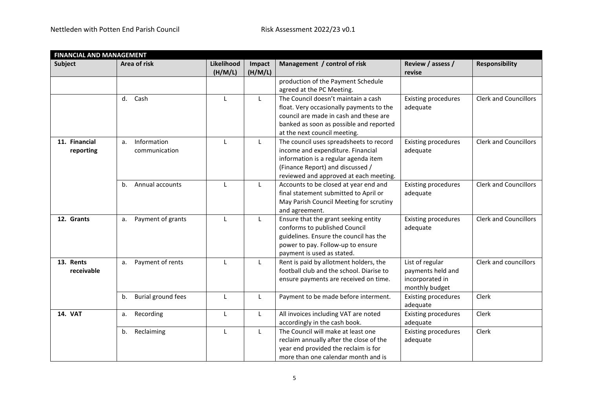| <b>FINANCIAL AND MANAGEMENT</b> |                          |                       |                   |                                                                                 |                             |                              |
|---------------------------------|--------------------------|-----------------------|-------------------|---------------------------------------------------------------------------------|-----------------------------|------------------------------|
| Subject                         | Area of risk             | Likelihood<br>(H/M/L) | Impact<br>(H/M/L) | Management / control of risk                                                    | Review / assess /<br>revise | <b>Responsibility</b>        |
|                                 |                          |                       |                   | production of the Payment Schedule                                              |                             |                              |
|                                 |                          |                       |                   | agreed at the PC Meeting.                                                       |                             |                              |
|                                 | Cash<br>d.               | $\mathsf{L}$          | $\mathsf{L}$      | The Council doesn't maintain a cash                                             | <b>Existing procedures</b>  | <b>Clerk and Councillors</b> |
|                                 |                          |                       |                   | float. Very occasionally payments to the                                        | adequate                    |                              |
|                                 |                          |                       |                   | council are made in cash and these are                                          |                             |                              |
|                                 |                          |                       |                   | banked as soon as possible and reported                                         |                             |                              |
|                                 |                          |                       |                   | at the next council meeting.                                                    |                             |                              |
| 11. Financial                   | Information<br>a.        | $\mathsf{L}$          | L                 | The council uses spreadsheets to record                                         | <b>Existing procedures</b>  | <b>Clerk and Councillors</b> |
| reporting                       | communication            |                       |                   | income and expenditure. Financial<br>information is a regular agenda item       | adequate                    |                              |
|                                 |                          |                       |                   | (Finance Report) and discussed /                                                |                             |                              |
|                                 |                          |                       |                   | reviewed and approved at each meeting.                                          |                             |                              |
|                                 | Annual accounts<br>b.    | L                     | L                 | Accounts to be closed at year end and                                           | <b>Existing procedures</b>  | <b>Clerk and Councillors</b> |
|                                 |                          |                       |                   | final statement submitted to April or                                           | adequate                    |                              |
|                                 |                          |                       |                   | May Parish Council Meeting for scrutiny                                         |                             |                              |
|                                 |                          |                       |                   | and agreement.                                                                  |                             |                              |
| 12. Grants                      | Payment of grants<br>a.  | $\mathsf{L}$          | L                 | Ensure that the grant seeking entity                                            | <b>Existing procedures</b>  | <b>Clerk and Councillors</b> |
|                                 |                          |                       |                   | conforms to published Council                                                   | adequate                    |                              |
|                                 |                          |                       |                   | guidelines. Ensure the council has the                                          |                             |                              |
|                                 |                          |                       |                   | power to pay. Follow-up to ensure                                               |                             |                              |
|                                 |                          |                       |                   | payment is used as stated.                                                      |                             |                              |
| 13. Rents                       | Payment of rents<br>a.   | $\mathbf{I}$          | L                 | Rent is paid by allotment holders, the                                          | List of regular             | Clerk and councillors        |
| receivable                      |                          |                       |                   | football club and the school. Diarise to                                        | payments held and           |                              |
|                                 |                          |                       |                   | ensure payments are received on time.                                           | incorporated in             |                              |
|                                 |                          |                       |                   |                                                                                 | monthly budget              |                              |
|                                 | Burial ground fees<br>b. | L                     | L                 | Payment to be made before interment.                                            | <b>Existing procedures</b>  | Clerk                        |
|                                 |                          |                       |                   |                                                                                 | adequate                    |                              |
| <b>14. VAT</b>                  | Recording<br>а.          | L                     | L                 | All invoices including VAT are noted                                            | <b>Existing procedures</b>  | Clerk                        |
|                                 |                          |                       |                   | accordingly in the cash book.<br>The Council will make at least one             | adequate                    |                              |
|                                 | Reclaiming<br>b.         | L                     | L                 |                                                                                 | <b>Existing procedures</b>  | Clerk                        |
|                                 |                          |                       |                   | reclaim annually after the close of the<br>year end provided the reclaim is for | adequate                    |                              |
|                                 |                          |                       |                   | more than one calendar month and is                                             |                             |                              |
|                                 |                          |                       |                   |                                                                                 |                             |                              |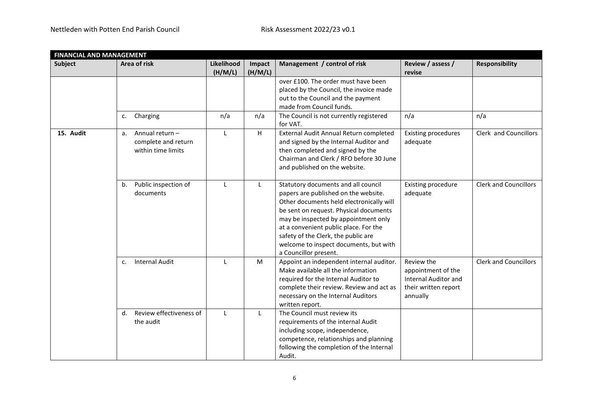|                | <b>FINANCIAL AND MANAGEMENT</b> |                       |                   |                                                                   |                             |                              |  |  |
|----------------|---------------------------------|-----------------------|-------------------|-------------------------------------------------------------------|-----------------------------|------------------------------|--|--|
| <b>Subject</b> | Area of risk                    | Likelihood<br>(H/M/L) | Impact<br>(H/M/L) | Management / control of risk                                      | Review / assess /<br>revise | <b>Responsibility</b>        |  |  |
|                |                                 |                       |                   | over £100. The order must have been                               |                             |                              |  |  |
|                |                                 |                       |                   | placed by the Council, the invoice made                           |                             |                              |  |  |
|                |                                 |                       |                   | out to the Council and the payment                                |                             |                              |  |  |
|                |                                 |                       |                   | made from Council funds.                                          |                             |                              |  |  |
|                | Charging<br>c.                  | n/a                   | n/a               | The Council is not currently registered<br>for VAT.               | n/a                         | n/a                          |  |  |
| 15. Audit      | Annual return -<br>a.           | L                     | H                 | External Audit Annual Return completed                            | <b>Existing procedures</b>  | Clerk and Councillors        |  |  |
|                | complete and return             |                       |                   | and signed by the Internal Auditor and                            | adequate                    |                              |  |  |
|                | within time limits              |                       |                   | then completed and signed by the                                  |                             |                              |  |  |
|                |                                 |                       |                   | Chairman and Clerk / RFO before 30 June                           |                             |                              |  |  |
|                |                                 |                       |                   | and published on the website.                                     |                             |                              |  |  |
|                | Public inspection of<br>b.      | L                     | L                 | Statutory documents and all council                               | <b>Existing procedure</b>   | <b>Clerk and Councillors</b> |  |  |
|                | documents                       |                       |                   | papers are published on the website.                              | adequate                    |                              |  |  |
|                |                                 |                       |                   | Other documents held electronically will                          |                             |                              |  |  |
|                |                                 |                       |                   | be sent on request. Physical documents                            |                             |                              |  |  |
|                |                                 |                       |                   | may be inspected by appointment only                              |                             |                              |  |  |
|                |                                 |                       |                   | at a convenient public place. For the                             |                             |                              |  |  |
|                |                                 |                       |                   | safety of the Clerk, the public are                               |                             |                              |  |  |
|                |                                 |                       |                   | welcome to inspect documents, but with                            |                             |                              |  |  |
|                | <b>Internal Audit</b>           | L                     | M                 | a Councillor present.<br>Appoint an independent internal auditor. | Review the                  | <b>Clerk and Councillors</b> |  |  |
|                | c.                              |                       |                   | Make available all the information                                | appointment of the          |                              |  |  |
|                |                                 |                       |                   | required for the Internal Auditor to                              | Internal Auditor and        |                              |  |  |
|                |                                 |                       |                   | complete their review. Review and act as                          | their written report        |                              |  |  |
|                |                                 |                       |                   | necessary on the Internal Auditors                                | annually                    |                              |  |  |
|                |                                 |                       |                   | written report.                                                   |                             |                              |  |  |
|                | Review effectiveness of<br>d.   | L                     | L                 | The Council must review its                                       |                             |                              |  |  |
|                | the audit                       |                       |                   | requirements of the internal Audit                                |                             |                              |  |  |
|                |                                 |                       |                   | including scope, independence,                                    |                             |                              |  |  |
|                |                                 |                       |                   | competence, relationships and planning                            |                             |                              |  |  |
|                |                                 |                       |                   | following the completion of the Internal                          |                             |                              |  |  |
|                |                                 |                       |                   | Audit.                                                            |                             |                              |  |  |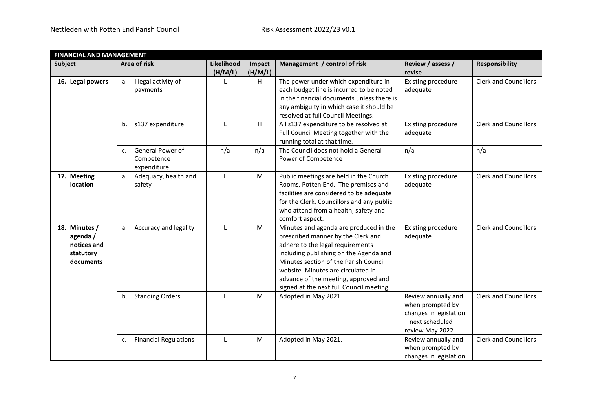|                                                                    | <b>FINANCIAL AND MANAGEMENT</b>                                 |                       |                   |                                                                                                                                                                                                                                                                                                                               |                                                                                                          |                              |  |  |  |  |
|--------------------------------------------------------------------|-----------------------------------------------------------------|-----------------------|-------------------|-------------------------------------------------------------------------------------------------------------------------------------------------------------------------------------------------------------------------------------------------------------------------------------------------------------------------------|----------------------------------------------------------------------------------------------------------|------------------------------|--|--|--|--|
| <b>Subject</b>                                                     | Area of risk                                                    | Likelihood<br>(H/M/L) | Impact<br>(H/M/L) | Management / control of risk                                                                                                                                                                                                                                                                                                  | Review / assess /<br>revise                                                                              | <b>Responsibility</b>        |  |  |  |  |
| 16. Legal powers                                                   | Illegal activity of<br>а.<br>payments                           | L                     | H                 | The power under which expenditure in<br>each budget line is incurred to be noted<br>in the financial documents unless there is<br>any ambiguity in which case it should be<br>resolved at full Council Meetings.                                                                                                              | Existing procedure<br>adequate                                                                           | <b>Clerk and Councillors</b> |  |  |  |  |
|                                                                    | s137 expenditure<br>b.                                          | $\mathsf{L}$          | H                 | All s137 expenditure to be resolved at<br>Full Council Meeting together with the<br>running total at that time.                                                                                                                                                                                                               | Existing procedure<br>adequate                                                                           | <b>Clerk and Councillors</b> |  |  |  |  |
|                                                                    | General Power of<br>C <sub>1</sub><br>Competence<br>expenditure | n/a                   | n/a               | The Council does not hold a General<br>Power of Competence                                                                                                                                                                                                                                                                    | n/a                                                                                                      | n/a                          |  |  |  |  |
| 17. Meeting<br>location                                            | Adequacy, health and<br>a.<br>safety                            | L                     | M                 | Public meetings are held in the Church<br>Rooms, Potten End. The premises and<br>facilities are considered to be adequate<br>for the Clerk, Councillors and any public<br>who attend from a health, safety and<br>comfort aspect.                                                                                             | <b>Existing procedure</b><br>adequate                                                                    | <b>Clerk and Councillors</b> |  |  |  |  |
| 18. Minutes /<br>agenda /<br>notices and<br>statutory<br>documents | Accuracy and legality<br>a.                                     | L                     | M                 | Minutes and agenda are produced in the<br>prescribed manner by the Clerk and<br>adhere to the legal requirements<br>including publishing on the Agenda and<br>Minutes section of the Parish Council<br>website. Minutes are circulated in<br>advance of the meeting, approved and<br>signed at the next full Council meeting. | <b>Existing procedure</b><br>adequate                                                                    | <b>Clerk and Councillors</b> |  |  |  |  |
|                                                                    | <b>Standing Orders</b><br>b.                                    | L                     | M                 | Adopted in May 2021                                                                                                                                                                                                                                                                                                           | Review annually and<br>when prompted by<br>changes in legislation<br>- next scheduled<br>review May 2022 | <b>Clerk and Councillors</b> |  |  |  |  |
|                                                                    | <b>Financial Regulations</b><br>c.                              | L                     | M                 | Adopted in May 2021.                                                                                                                                                                                                                                                                                                          | Review annually and<br>when prompted by<br>changes in legislation                                        | <b>Clerk and Councillors</b> |  |  |  |  |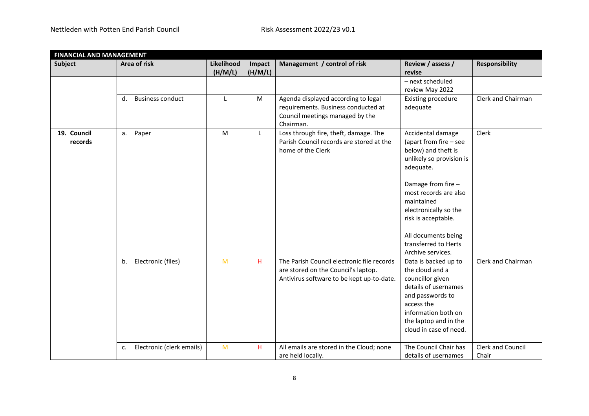|                        | <b>FINANCIAL AND MANAGEMENT</b> |                       |                   |                                                                                                                                |                                                                                                                                                                                                                                                                                              |                            |  |  |
|------------------------|---------------------------------|-----------------------|-------------------|--------------------------------------------------------------------------------------------------------------------------------|----------------------------------------------------------------------------------------------------------------------------------------------------------------------------------------------------------------------------------------------------------------------------------------------|----------------------------|--|--|
| Subject                | Area of risk                    | Likelihood<br>(H/M/L) | Impact<br>(H/M/L) | Management / control of risk                                                                                                   | Review / assess /<br>revise                                                                                                                                                                                                                                                                  | <b>Responsibility</b>      |  |  |
|                        |                                 |                       |                   |                                                                                                                                | - next scheduled<br>review May 2022                                                                                                                                                                                                                                                          |                            |  |  |
|                        | <b>Business conduct</b><br>d.   | $\mathsf{L}$          | M                 | Agenda displayed according to legal<br>requirements. Business conducted at<br>Council meetings managed by the<br>Chairman.     | Existing procedure<br>adequate                                                                                                                                                                                                                                                               | Clerk and Chairman         |  |  |
| 19. Council<br>records | Paper<br>а.                     | M                     | L                 | Loss through fire, theft, damage. The<br>Parish Council records are stored at the<br>home of the Clerk                         | Accidental damage<br>(apart from fire - see<br>below) and theft is<br>unlikely so provision is<br>adequate.<br>Damage from fire -<br>most records are also<br>maintained<br>electronically so the<br>risk is acceptable.<br>All documents being<br>transferred to Herts<br>Archive services. | Clerk                      |  |  |
|                        | Electronic (files)<br>b.        | M                     | H.                | The Parish Council electronic file records<br>are stored on the Council's laptop.<br>Antivirus software to be kept up-to-date. | Data is backed up to<br>the cloud and a<br>councillor given<br>details of usernames<br>and passwords to<br>access the<br>information both on<br>the laptop and in the<br>cloud in case of need.                                                                                              | Clerk and Chairman         |  |  |
|                        | Electronic (clerk emails)<br>c. | M                     | H.                | All emails are stored in the Cloud; none<br>are held locally.                                                                  | The Council Chair has<br>details of usernames                                                                                                                                                                                                                                                | Clerk and Council<br>Chair |  |  |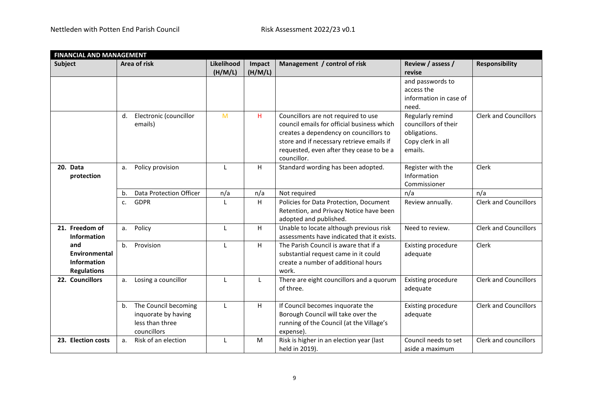| <b>FINANCIAL AND MANAGEMENT</b>                           |                                                                                     |                       |                   |                                                                                                                                                                                                                                     |                                                                                          |                              |
|-----------------------------------------------------------|-------------------------------------------------------------------------------------|-----------------------|-------------------|-------------------------------------------------------------------------------------------------------------------------------------------------------------------------------------------------------------------------------------|------------------------------------------------------------------------------------------|------------------------------|
| <b>Subject</b>                                            | Area of risk                                                                        | Likelihood<br>(H/M/L) | Impact<br>(H/M/L) | Management / control of risk                                                                                                                                                                                                        | Review / assess /<br>revise                                                              | <b>Responsibility</b>        |
|                                                           |                                                                                     |                       |                   |                                                                                                                                                                                                                                     | and passwords to<br>access the<br>information in case of<br>need.                        |                              |
|                                                           | Electronic (councillor<br>d.<br>emails)                                             | M                     | H.                | Councillors are not required to use<br>council emails for official business which<br>creates a dependency on councillors to<br>store and if necessary retrieve emails if<br>requested, even after they cease to be a<br>councillor. | Regularly remind<br>councillors of their<br>obligations.<br>Copy clerk in all<br>emails. | <b>Clerk and Councillors</b> |
| 20. Data<br>protection                                    | Policy provision<br>a.                                                              | $\mathsf{L}$          | H.                | Standard wording has been adopted.                                                                                                                                                                                                  | Register with the<br>Information<br>Commissioner                                         | Clerk                        |
|                                                           | Data Protection Officer<br>b.                                                       | n/a                   | n/a               | Not required                                                                                                                                                                                                                        | n/a                                                                                      | n/a                          |
|                                                           | <b>GDPR</b><br>c.                                                                   |                       | H                 | Policies for Data Protection, Document<br>Retention, and Privacy Notice have been<br>adopted and published.                                                                                                                         | Review annually.                                                                         | <b>Clerk and Councillors</b> |
| 21. Freedom of<br><b>Information</b>                      | Policy<br>a.                                                                        | L                     | H                 | Unable to locate although previous risk<br>assessments have indicated that it exists.                                                                                                                                               | Need to review.                                                                          | <b>Clerk and Councillors</b> |
| and<br>Environmental<br>Information<br><b>Regulations</b> | Provision<br>b.                                                                     | $\mathsf{L}$          | H.                | The Parish Council is aware that if a<br>substantial request came in it could<br>create a number of additional hours<br>work.                                                                                                       | <b>Existing procedure</b><br>adequate                                                    | Clerk                        |
| 22. Councillors                                           | Losing a councillor<br>a.                                                           | L                     | $\mathsf{L}$      | There are eight councillors and a quorum<br>of three.                                                                                                                                                                               | <b>Existing procedure</b><br>adequate                                                    | <b>Clerk and Councillors</b> |
|                                                           | The Council becoming<br>b.<br>inquorate by having<br>less than three<br>councillors | L                     | H                 | If Council becomes inquorate the<br>Borough Council will take over the<br>running of the Council (at the Village's<br>expense).                                                                                                     | <b>Existing procedure</b><br>adequate                                                    | <b>Clerk and Councillors</b> |
| 23. Election costs                                        | Risk of an election<br>a.                                                           | L                     | M                 | Risk is higher in an election year (last<br>held in 2019).                                                                                                                                                                          | Council needs to set<br>aside a maximum                                                  | Clerk and councillors        |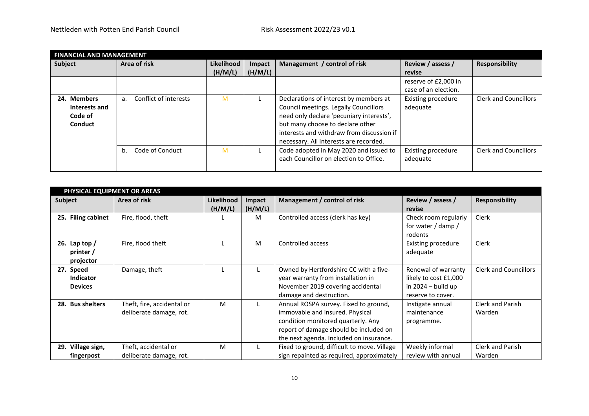|                                                    | <b>FINANCIAL AND MANAGEMENT</b> |            |         |                                                                                                                                                                                                                                                        |                                |                              |  |  |  |  |  |
|----------------------------------------------------|---------------------------------|------------|---------|--------------------------------------------------------------------------------------------------------------------------------------------------------------------------------------------------------------------------------------------------------|--------------------------------|------------------------------|--|--|--|--|--|
| Subject                                            | Area of risk                    | Likelihood | Impact  | Management / control of risk                                                                                                                                                                                                                           | Review / assess /              | <b>Responsibility</b>        |  |  |  |  |  |
|                                                    |                                 | (H/M/L)    | (H/M/L) |                                                                                                                                                                                                                                                        | revise                         |                              |  |  |  |  |  |
|                                                    |                                 |            |         |                                                                                                                                                                                                                                                        | reserve of £2,000 in           |                              |  |  |  |  |  |
|                                                    |                                 |            |         |                                                                                                                                                                                                                                                        | case of an election.           |                              |  |  |  |  |  |
| 24. Members<br>Interests and<br>Code of<br>Conduct | Conflict of interests<br>a.     | M          |         | Declarations of interest by members at<br>Council meetings. Legally Councillors<br>need only declare 'pecuniary interests',<br>but many choose to declare other<br>interests and withdraw from discussion if<br>necessary. All interests are recorded. | Existing procedure<br>adequate | <b>Clerk and Councillors</b> |  |  |  |  |  |
|                                                    | Code of Conduct<br>b.           | M          |         | Code adopted in May 2020 and issued to<br>each Councillor on election to Office.                                                                                                                                                                       | Existing procedure<br>adequate | <b>Clerk and Councillors</b> |  |  |  |  |  |

| PHYSICAL EQUIPMENT OR AREAS |                            |            |         |                                             |                       |                              |  |  |  |
|-----------------------------|----------------------------|------------|---------|---------------------------------------------|-----------------------|------------------------------|--|--|--|
| <b>Subject</b>              | Area of risk               | Likelihood | Impact  | Management / control of risk                | Review / assess /     | <b>Responsibility</b>        |  |  |  |
|                             |                            | (H/M/L)    | (H/M/L) |                                             | revise                |                              |  |  |  |
| 25. Filing cabinet          | Fire, flood, theft         |            | M       | Controlled access (clerk has key)           | Check room regularly  | Clerk                        |  |  |  |
|                             |                            |            |         |                                             | for water / damp /    |                              |  |  |  |
|                             |                            |            |         |                                             | rodents               |                              |  |  |  |
| 26. Lap top $/$             | Fire, flood theft          |            | M       | Controlled access                           | Existing procedure    | <b>Clerk</b>                 |  |  |  |
| printer /                   |                            |            |         |                                             | adequate              |                              |  |  |  |
| projector                   |                            |            |         |                                             |                       |                              |  |  |  |
| 27. Speed                   | Damage, theft              |            |         | Owned by Hertfordshire CC with a five-      | Renewal of warranty   | <b>Clerk and Councillors</b> |  |  |  |
| <b>Indicator</b>            |                            |            |         | year warranty from installation in          | likely to cost £1,000 |                              |  |  |  |
| <b>Devices</b>              |                            |            |         | November 2019 covering accidental           | in $2024 -$ build up  |                              |  |  |  |
|                             |                            |            |         | damage and destruction.                     | reserve to cover.     |                              |  |  |  |
| 28. Bus shelters            | Theft, fire, accidental or | м          |         | Annual ROSPA survey. Fixed to ground,       | Instigate annual      | Clerk and Parish             |  |  |  |
|                             | deliberate damage, rot.    |            |         | immovable and insured. Physical             | maintenance           | Warden                       |  |  |  |
|                             |                            |            |         | condition monitored quarterly. Any          | programme.            |                              |  |  |  |
|                             |                            |            |         | report of damage should be included on      |                       |                              |  |  |  |
|                             |                            |            |         | the next agenda. Included on insurance.     |                       |                              |  |  |  |
| 29. Village sign,           | Theft, accidental or       | M          |         | Fixed to ground, difficult to move. Village | Weekly informal       | <b>Clerk and Parish</b>      |  |  |  |
| fingerpost                  | deliberate damage, rot.    |            |         | sign repainted as required, approximately   | review with annual    | Warden                       |  |  |  |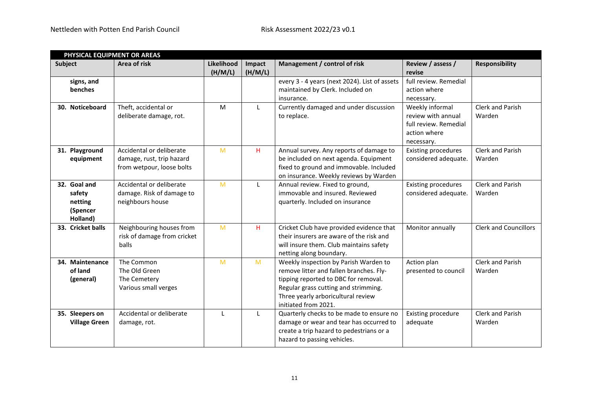|                                                           | PHYSICAL EQUIPMENT OR AREAS                                                        |                       |                   |                                                                                                                                                                                                                                |                                                                                              |                              |  |  |  |
|-----------------------------------------------------------|------------------------------------------------------------------------------------|-----------------------|-------------------|--------------------------------------------------------------------------------------------------------------------------------------------------------------------------------------------------------------------------------|----------------------------------------------------------------------------------------------|------------------------------|--|--|--|
| <b>Subject</b>                                            | Area of risk                                                                       | Likelihood<br>(H/M/L) | Impact<br>(H/M/L) | Management / control of risk                                                                                                                                                                                                   | Review / assess /<br>revise                                                                  | <b>Responsibility</b>        |  |  |  |
| signs, and<br>benches                                     |                                                                                    |                       |                   | every 3 - 4 years (next 2024). List of assets<br>maintained by Clerk. Included on<br>insurance.                                                                                                                                | full review. Remedial<br>action where<br>necessary.                                          |                              |  |  |  |
| 30. Noticeboard                                           | Theft, accidental or<br>deliberate damage, rot.                                    | M                     | L                 | Currently damaged and under discussion<br>to replace.                                                                                                                                                                          | Weekly informal<br>review with annual<br>full review. Remedial<br>action where<br>necessary. | Clerk and Parish<br>Warden   |  |  |  |
| 31. Playground<br>equipment                               | Accidental or deliberate<br>damage, rust, trip hazard<br>from wetpour, loose bolts | M                     | H.                | Annual survey. Any reports of damage to<br>be included on next agenda. Equipment<br>fixed to ground and immovable. Included<br>on insurance. Weekly reviews by Warden                                                          | <b>Existing procedures</b><br>considered adequate.                                           | Clerk and Parish<br>Warden   |  |  |  |
| 32. Goal and<br>safety<br>netting<br>(Spencer<br>Holland) | Accidental or deliberate<br>damage. Risk of damage to<br>neighbours house          | M                     | $\mathsf{L}$      | Annual review. Fixed to ground,<br>immovable and insured. Reviewed<br>quarterly. Included on insurance                                                                                                                         | <b>Existing procedures</b><br>considered adequate.                                           | Clerk and Parish<br>Warden   |  |  |  |
| 33. Cricket balls                                         | Neighbouring houses from<br>risk of damage from cricket<br>balls                   | M                     | H                 | Cricket Club have provided evidence that<br>their insurers are aware of the risk and<br>will insure them. Club maintains safety<br>netting along boundary.                                                                     | Monitor annually                                                                             | <b>Clerk and Councillors</b> |  |  |  |
| 34. Maintenance<br>of land<br>(general)                   | The Common<br>The Old Green<br>The Cemetery<br>Various small verges                | M                     | $\mathsf{M}$      | Weekly inspection by Parish Warden to<br>remove litter and fallen branches. Fly-<br>tipping reported to DBC for removal.<br>Regular grass cutting and strimming.<br>Three yearly arboricultural review<br>initiated from 2021. | Action plan<br>presented to council                                                          | Clerk and Parish<br>Warden   |  |  |  |
| 35. Sleepers on<br><b>Village Green</b>                   | Accidental or deliberate<br>damage, rot.                                           | L                     | L                 | Quarterly checks to be made to ensure no<br>damage or wear and tear has occurred to<br>create a trip hazard to pedestrians or a<br>hazard to passing vehicles.                                                                 | Existing procedure<br>adequate                                                               | Clerk and Parish<br>Warden   |  |  |  |